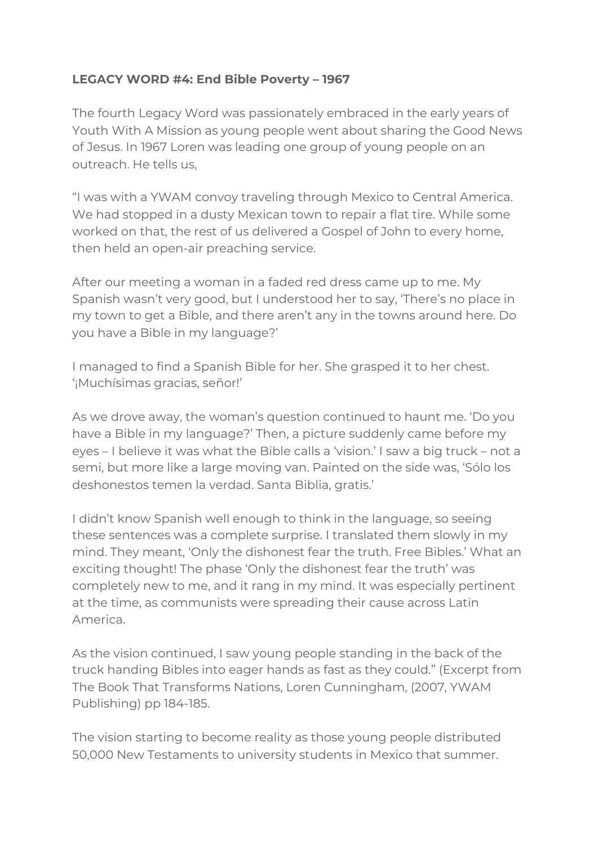## **LEGACY WORD #4: End Bible Poverty – 1967**

The fourth Legacy Word was passionately embraced in the early years of Youth With A Mission as young people went about sharing the Good News of Jesus. In 1967 Loren was leading one group of young people on an outreach. He tells us,

"I was with a YWAM convoy traveling through Mexico to Central America. We had stopped in a dusty Mexican town to repair a flat tire. While some worked on that, the rest of us delivered a Gospel of John to every home, then held an open-air preaching service.

After our meeting a woman in a faded red dress came up to me. My Spanish wasn't very good, but I understood her to say, 'There's no place in my town to get a Bible, and there aren't any in the towns around here. Do you have a Bible in my language?'

I managed to find a Spanish Bible for her. She grasped it to her chest. '¡Muchísimas gracias, señor!'

As we drove away, the woman's question continued to haunt me. 'Do you have a Bible in my language?' Then, a picture suddenly came before my eyes – I believe it was what the Bible calls a 'vision.' I saw a big truck – not a semi, but more like a large moving van. Painted on the side was, 'Sólo los deshonestos temen la verdad. Santa Biblia, gratis.'

I didn't know Spanish well enough to think in the language, so seeing these sentences was a complete surprise. I translated them slowly in my mind. They meant, 'Only the dishonest fear the truth. Free Bibles.' What an exciting thought! The phase 'Only the dishonest fear the truth' was completely new to me, and it rang in my mind. It was especially pertinent at the time, as communists were spreading their cause across Latin America.

As the vision continued, I saw young people standing in the back of the truck handing Bibles into eager hands as fast as they could." (Excerpt from The Book That Transforms Nations, Loren Cunningham, (2007, YWAM Publishing) pp 184-185.

The vision starting to become reality as those young people distributed 50,000 New Testaments to university students in Mexico that summer.